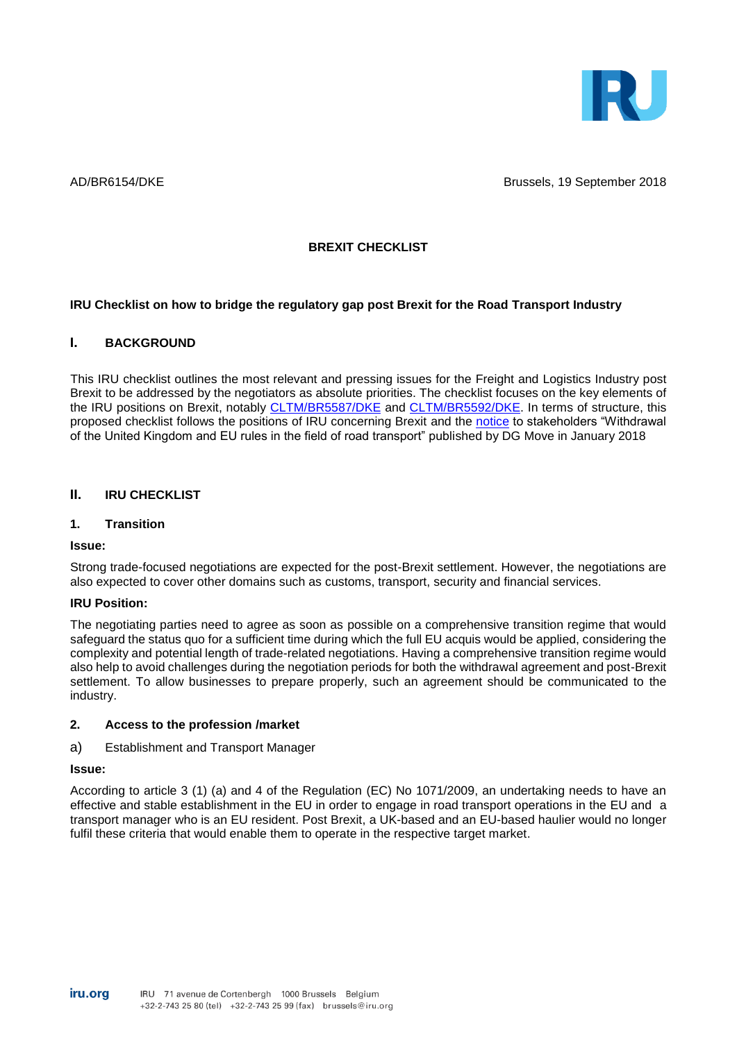

AD/BR6154/DKE Brussels, 19 September 2018

### **BREXIT CHECKLIST**

### **IRU Checklist on how to bridge the regulatory gap post Brexit for the Road Transport Industry**

### **I. BACKGROUND**

This IRU checklist outlines the most relevant and pressing issues for the Freight and Logistics Industry post Brexit to be addressed by the negotiators as absolute priorities. The checklist focuses on the key elements of the IRU positions on Brexit, notably [CLTM/BR5587/DKE](https://www.iru.org/apps/dme-app?id=CLTM_BR5587_E) and [CLTM/BR5592/DKE.](https://www.iru.org/apps/dme-app?id=CLTM_BR5592_E) In terms of structure, this proposed checklist follows the positions of IRU concerning Brexit and the [notice](https://ec.europa.eu/transport/sites/transport/files/legislation/brexit-notice-to-stakeholders-road-transport.pdf) to stakeholders "Withdrawal of the United Kingdom and EU rules in the field of road transport" published by DG Move in January 2018

# **II. IRU CHECKLIST**

### **1. Transition**

#### **Issue:**

Strong trade-focused negotiations are expected for the post-Brexit settlement. However, the negotiations are also expected to cover other domains such as customs, transport, security and financial services.

#### **IRU Position:**

The negotiating parties need to agree as soon as possible on a comprehensive transition regime that would safeguard the status quo for a sufficient time during which the full EU acquis would be applied, considering the complexity and potential length of trade-related negotiations. Having a comprehensive transition regime would also help to avoid challenges during the negotiation periods for both the withdrawal agreement and post-Brexit settlement. To allow businesses to prepare properly, such an agreement should be communicated to the industry.

#### **2. Access to the profession /market**

#### a) Establishment and Transport Manager

#### **Issue:**

According to article 3 (1) (a) and 4 of the Regulation (EC) No 1071/2009, an undertaking needs to have an effective and stable establishment in the EU in order to engage in road transport operations in the EU and a transport manager who is an EU resident. Post Brexit, a UK-based and an EU-based haulier would no longer fulfil these criteria that would enable them to operate in the respective target market.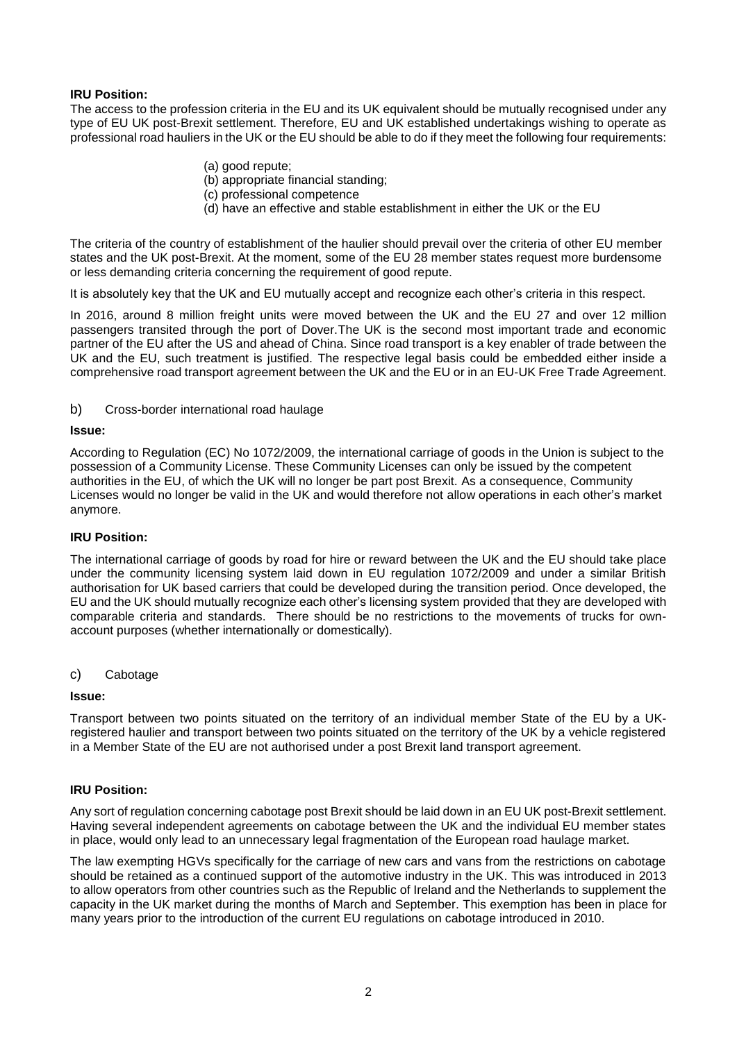# **IRU Position:**

The access to the profession criteria in the EU and its UK equivalent should be mutually recognised under any type of EU UK post-Brexit settlement. Therefore, EU and UK established undertakings wishing to operate as professional road hauliers in the UK or the EU should be able to do if they meet the following four requirements:

- (a) good repute;
- (b) appropriate financial standing;
- (c) professional competence
- (d) have an effective and stable establishment in either the UK or the EU

The criteria of the country of establishment of the haulier should prevail over the criteria of other EU member states and the UK post-Brexit. At the moment, some of the EU 28 member states request more burdensome or less demanding criteria concerning the requirement of good repute.

It is absolutely key that the UK and EU mutually accept and recognize each other's criteria in this respect.

In 2016, around 8 million freight units were moved between the UK and the EU 27 and over 12 million passengers transited through the port of Dover.The UK is the second most important trade and economic partner of the EU after the US and ahead of China. Since road transport is a key enabler of trade between the UK and the EU, such treatment is justified. The respective legal basis could be embedded either inside a comprehensive road transport agreement between the UK and the EU or in an EU-UK Free Trade Agreement.

b) Cross-border international road haulage

### **Issue:**

According to Regulation (EC) No 1072/2009, the international carriage of goods in the Union is subject to the possession of a Community License. These Community Licenses can only be issued by the competent authorities in the EU, of which the UK will no longer be part post Brexit. As a consequence, Community Licenses would no longer be valid in the UK and would therefore not allow operations in each other's market anymore.

### **IRU Position:**

The international carriage of goods by road for hire or reward between the UK and the EU should take place under the community licensing system laid down in EU regulation 1072/2009 and under a similar British authorisation for UK based carriers that could be developed during the transition period. Once developed, the EU and the UK should mutually recognize each other's licensing system provided that they are developed with comparable criteria and standards. There should be no restrictions to the movements of trucks for ownaccount purposes (whether internationally or domestically).

c) Cabotage

### **Issue:**

Transport between two points situated on the territory of an individual member State of the EU by a UKregistered haulier and transport between two points situated on the territory of the UK by a vehicle registered in a Member State of the EU are not authorised under a post Brexit land transport agreement.

### **IRU Position:**

Any sort of regulation concerning cabotage post Brexit should be laid down in an EU UK post-Brexit settlement. Having several independent agreements on cabotage between the UK and the individual EU member states in place, would only lead to an unnecessary legal fragmentation of the European road haulage market.

The law exempting HGVs specifically for the carriage of new cars and vans from the restrictions on cabotage should be retained as a continued support of the automotive industry in the UK. This was introduced in 2013 to allow operators from other countries such as the Republic of Ireland and the Netherlands to supplement the capacity in the UK market during the months of March and September. This exemption has been in place for many years prior to the introduction of the current EU regulations on cabotage introduced in 2010.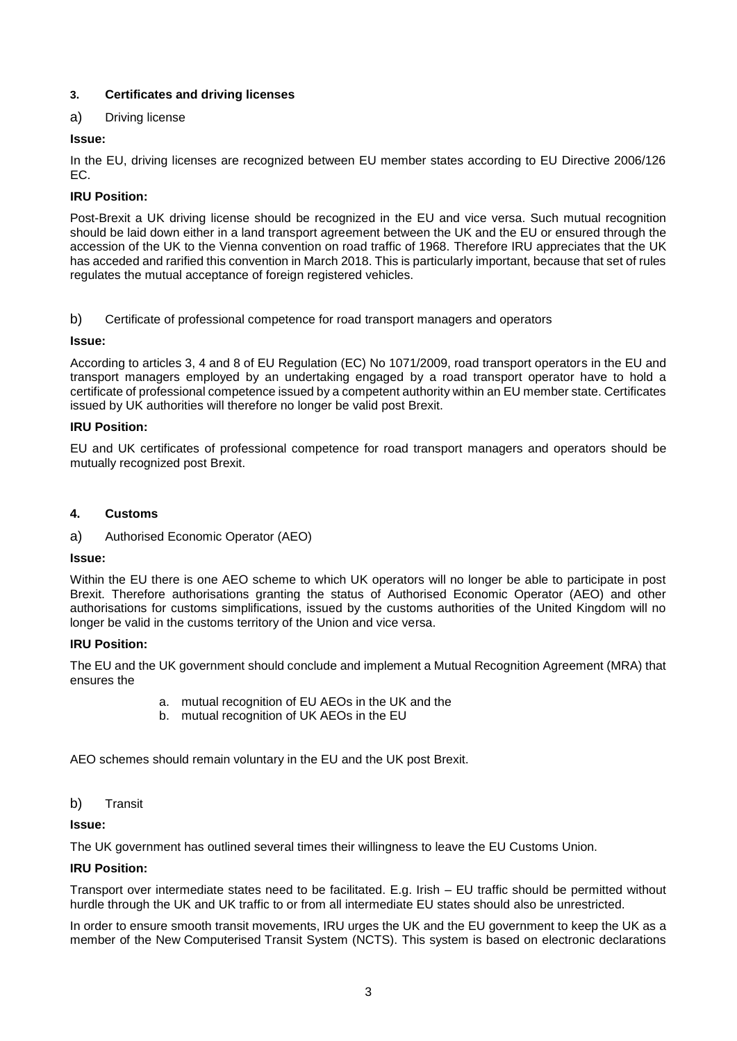# **3. Certificates and driving licenses**

# a) Driving license

# **Issue:**

In the EU, driving licenses are recognized between EU member states according to EU Directive 2006/126 EC.

# **IRU Position:**

Post-Brexit a UK driving license should be recognized in the EU and vice versa. Such mutual recognition should be laid down either in a land transport agreement between the UK and the EU or ensured through the accession of the UK to the Vienna convention on road traffic of 1968. Therefore IRU appreciates that the UK has acceded and rarified this convention in March 2018. This is particularly important, because that set of rules regulates the mutual acceptance of foreign registered vehicles.

b) Certificate of professional competence for road transport managers and operators

# **Issue:**

According to articles 3, 4 and 8 of EU Regulation (EC) No 1071/2009, road transport operators in the EU and transport managers employed by an undertaking engaged by a road transport operator have to hold a certificate of professional competence issued by a competent authority within an EU member state. Certificates issued by UK authorities will therefore no longer be valid post Brexit.

# **IRU Position:**

EU and UK certificates of professional competence for road transport managers and operators should be mutually recognized post Brexit.

# **4. Customs**

a) Authorised Economic Operator (AEO)

# **Issue:**

Within the EU there is one AEO scheme to which UK operators will no longer be able to participate in post Brexit. Therefore authorisations granting the status of Authorised Economic Operator (AEO) and other authorisations for customs simplifications, issued by the customs authorities of the United Kingdom will no longer be valid in the customs territory of the Union and vice versa.

# **IRU Position:**

The EU and the UK government should conclude and implement a Mutual Recognition Agreement (MRA) that ensures the

- a. mutual recognition of EU AEOs in the UK and the
- b. mutual recognition of UK AEOs in the EU

AEO schemes should remain voluntary in the EU and the UK post Brexit.

# b) Transit

# **Issue:**

The UK government has outlined several times their willingness to leave the EU Customs Union.

# **IRU Position:**

Transport over intermediate states need to be facilitated. E.g. Irish – EU traffic should be permitted without hurdle through the UK and UK traffic to or from all intermediate EU states should also be unrestricted.

In order to ensure smooth transit movements, IRU urges the UK and the EU government to keep the UK as a member of the New Computerised Transit System (NCTS). This system is based on electronic declarations